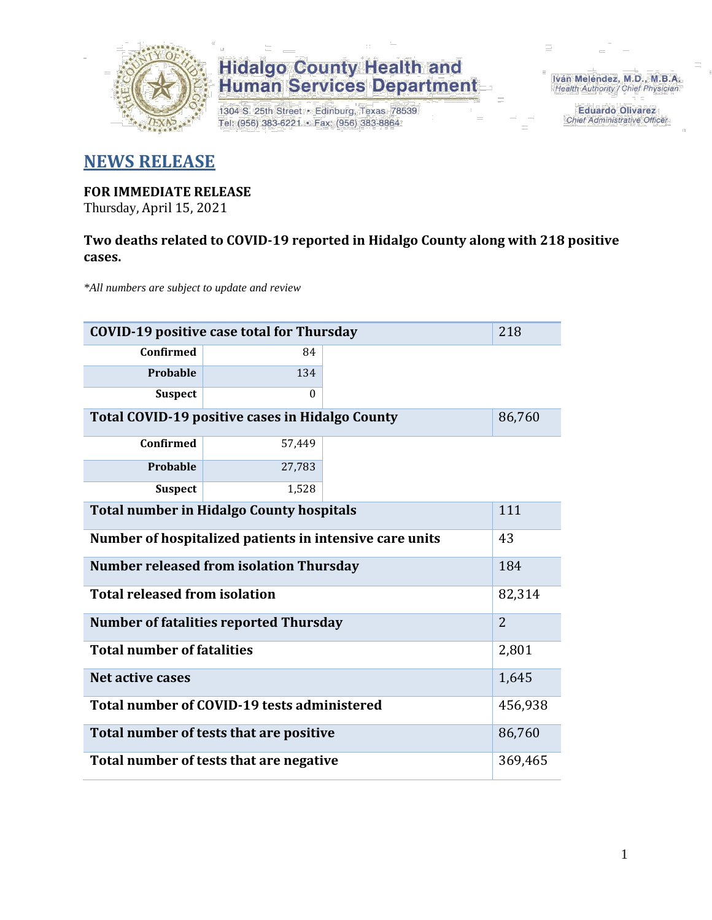

1304 S. 25th Street · Edinburg, Texas 78539 Tel: (956) 383-6221 · Fax: (956) 383-8864

Iván Meléndez, M.D., M.B.A. Health Authority / Chief Physician

> **Eduardo Olivarez** Chief Administrative Officer

#### **NEWS RELEASE**

#### **FOR IMMEDIATE RELEASE**

Thursday, April 15, 2021

#### **Two deaths related to COVID-19 reported in Hidalgo County along with 218 positive cases.**

*\*All numbers are subject to update and review*

| <b>COVID-19 positive case total for Thursday</b><br>218         |          |  |  |  |  |  |
|-----------------------------------------------------------------|----------|--|--|--|--|--|
| Confirmed                                                       | 84       |  |  |  |  |  |
| Probable                                                        | 134      |  |  |  |  |  |
| <b>Suspect</b>                                                  | $\theta$ |  |  |  |  |  |
| Total COVID-19 positive cases in Hidalgo County<br>86,760       |          |  |  |  |  |  |
| <b>Confirmed</b>                                                | 57,449   |  |  |  |  |  |
| Probable                                                        | 27,783   |  |  |  |  |  |
| <b>Suspect</b>                                                  | 1,528    |  |  |  |  |  |
| <b>Total number in Hidalgo County hospitals</b><br>111          |          |  |  |  |  |  |
| Number of hospitalized patients in intensive care units<br>43   |          |  |  |  |  |  |
| <b>Number released from isolation Thursday</b><br>184           |          |  |  |  |  |  |
| <b>Total released from isolation</b><br>82,314                  |          |  |  |  |  |  |
| $\overline{2}$<br><b>Number of fatalities reported Thursday</b> |          |  |  |  |  |  |
| <b>Total number of fatalities</b>                               |          |  |  |  |  |  |
| Net active cases                                                |          |  |  |  |  |  |
| Total number of COVID-19 tests administered                     |          |  |  |  |  |  |
| Total number of tests that are positive                         |          |  |  |  |  |  |
| Total number of tests that are negative                         |          |  |  |  |  |  |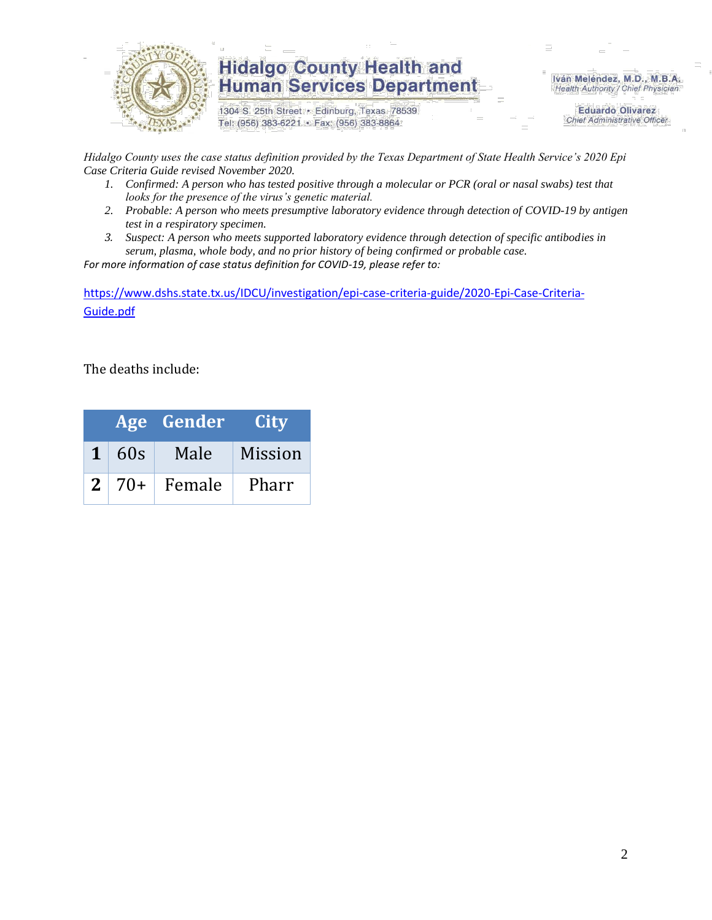

1304 S. 25th Street · Edinburg, Texas 78539 Tel: (956) 383-6221 · Fax: (956) 383-8864

Iván Meléndez, M.D., M.B.A. Health Authority / Chief Physician

> **Eduardo Olivarez Chief Administrative Officer**

*Hidalgo County uses the case status definition provided by the Texas Department of State Health Service's 2020 Epi Case Criteria Guide revised November 2020.*

- *1. Confirmed: A person who has tested positive through a molecular or PCR (oral or nasal swabs) test that looks for the presence of the virus's genetic material.*
- *2. Probable: A person who meets presumptive laboratory evidence through detection of COVID-19 by antigen test in a respiratory specimen.*
- *3. Suspect: A person who meets supported laboratory evidence through detection of specific antibodies in serum, plasma, whole body, and no prior history of being confirmed or probable case.*

*For more information of case status definition for COVID-19, please refer to:*

[https://www.dshs.state.tx.us/IDCU/investigation/epi-case-criteria-guide/2020-Epi-Case-Criteria-](https://www.dshs.state.tx.us/IDCU/investigation/epi-case-criteria-guide/2020-Epi-Case-Criteria-Guide.pdf)[Guide.pdf](https://www.dshs.state.tx.us/IDCU/investigation/epi-case-criteria-guide/2020-Epi-Case-Criteria-Guide.pdf)

The deaths include:

|  | Age Gender             | <b>City</b> |
|--|------------------------|-------------|
|  | $1 \mid 60s \mid$ Male | Mission     |
|  | $2   70+  $ Female     | Pharr       |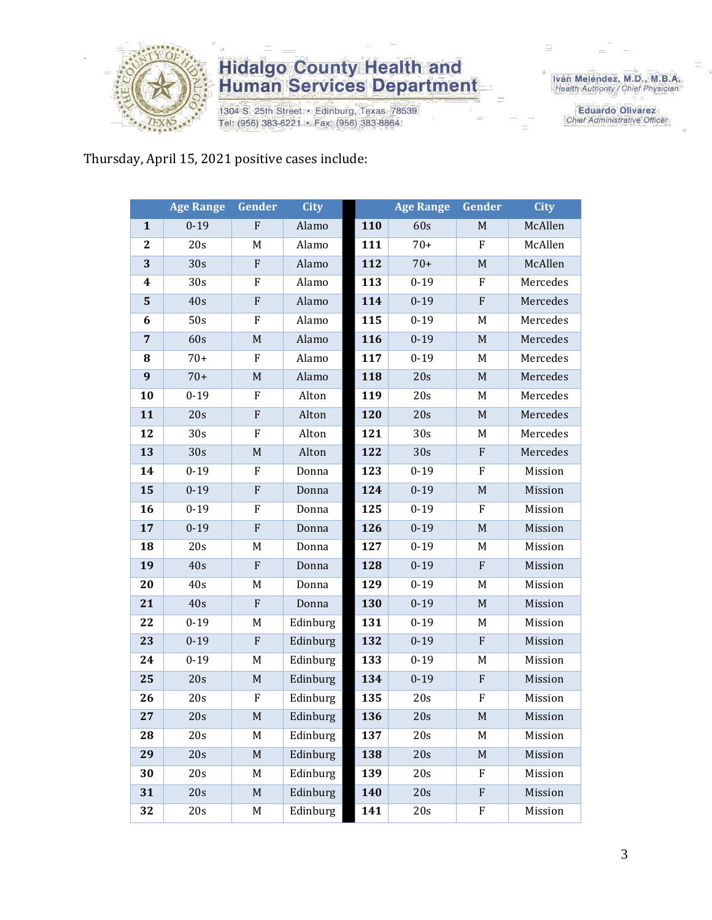

1304 S. 25th Street · Edinburg, Texas 78539 Tel: (956) 383-6221 · Fax: (956) 383-8864

Iván Meléndez, M.D., M.B.A.<br>Health Authority / Chief Physician

**Eduardo Olivarez** Chief Administrative Officer

#### Thursday, April 15, 2021 positive cases include:

|                | <b>Age Range</b> | Gender      | <b>City</b> |     | <b>Age Range</b> | Gender           | <b>City</b> |
|----------------|------------------|-------------|-------------|-----|------------------|------------------|-------------|
| $\mathbf{1}$   | $0 - 19$         | $\mathbf F$ | Alamo       | 110 | 60s              | M                | McAllen     |
| $\mathbf{2}$   | 20s              | M           | Alamo       | 111 | $70+$            | ${\bf F}$        | McAllen     |
| 3              | 30s              | F           | Alamo       | 112 | $70+$            | $\mathbf M$      | McAllen     |
| 4              | 30s              | F           | Alamo       | 113 | $0 - 19$         | F                | Mercedes    |
| $5\phantom{1}$ | 40s              | ${\bf F}$   | Alamo       | 114 | $0 - 19$         | ${\bf F}$        | Mercedes    |
| 6              | 50s              | F           | Alamo       | 115 | $0 - 19$         | M                | Mercedes    |
| $\overline{7}$ | 60s              | M           | Alamo       | 116 | $0 - 19$         | $\mathbf M$      | Mercedes    |
| 8              | $70+$            | ${\bf F}$   | Alamo       | 117 | $0 - 19$         | M                | Mercedes    |
| 9              | $70+$            | M           | Alamo       | 118 | 20s              | $\mathbf M$      | Mercedes    |
| 10             | $0 - 19$         | F           | Alton       | 119 | 20s              | M                | Mercedes    |
| 11             | 20s              | F           | Alton       | 120 | 20s              | M                | Mercedes    |
| 12             | 30s              | ${\bf F}$   | Alton       | 121 | 30 <sub>s</sub>  | M                | Mercedes    |
| 13             | 30s              | $\mathbf M$ | Alton       | 122 | 30s              | $\boldsymbol{F}$ | Mercedes    |
| 14             | $0 - 19$         | F           | Donna       | 123 | $0 - 19$         | F                | Mission     |
| 15             | $0 - 19$         | ${\bf F}$   | Donna       | 124 | $0 - 19$         | $\mathbf M$      | Mission     |
| 16             | $0-19$           | F           | Donna       | 125 | $0 - 19$         | F                | Mission     |
| 17             | $0 - 19$         | ${\bf F}$   | Donna       | 126 | $0 - 19$         | $\mathbf M$      | Mission     |
| 18             | 20s              | M           | Donna       | 127 | $0 - 19$         | M                | Mission     |
| 19             | 40s              | ${\bf F}$   | Donna       | 128 | $0 - 19$         | ${\bf F}$        | Mission     |
| 20             | 40s              | M           | Donna       | 129 | $0 - 19$         | M                | Mission     |
| 21             | 40s              | ${\bf F}$   | Donna       | 130 | $0 - 19$         | $\mathbf M$      | Mission     |
| 22             | $0 - 19$         | M           | Edinburg    | 131 | $0 - 19$         | M                | Mission     |
| 23             | $0 - 19$         | F           | Edinburg    | 132 | $0 - 19$         | $\mathbf F$      | Mission     |
| 24             | $0 - 19$         | M           | Edinburg    | 133 | $0 - 19$         | M                | Mission     |
| 25             | 20s              | M           | Edinburg    | 134 | $0 - 19$         | $\boldsymbol{F}$ | Mission     |
| 26             | 20s              | F           | Edinburg    | 135 | 20s              | F                | Mission     |
| 27             | 20s              | M           | Edinburg    | 136 | 20s              | M                | Mission     |
| 28             | 20s              | M           | Edinburg    | 137 | 20s              | M                | Mission     |
| 29             | 20s              | $\mathbf M$ | Edinburg    | 138 | 20s              | $\mathbf M$      | Mission     |
| 30             | 20s              | M           | Edinburg    | 139 | 20s              | F                | Mission     |
| 31             | 20s              | M           | Edinburg    | 140 | 20s              | $\mathbf F$      | Mission     |
| 32             | 20s              | M           | Edinburg    | 141 | 20s              | F                | Mission     |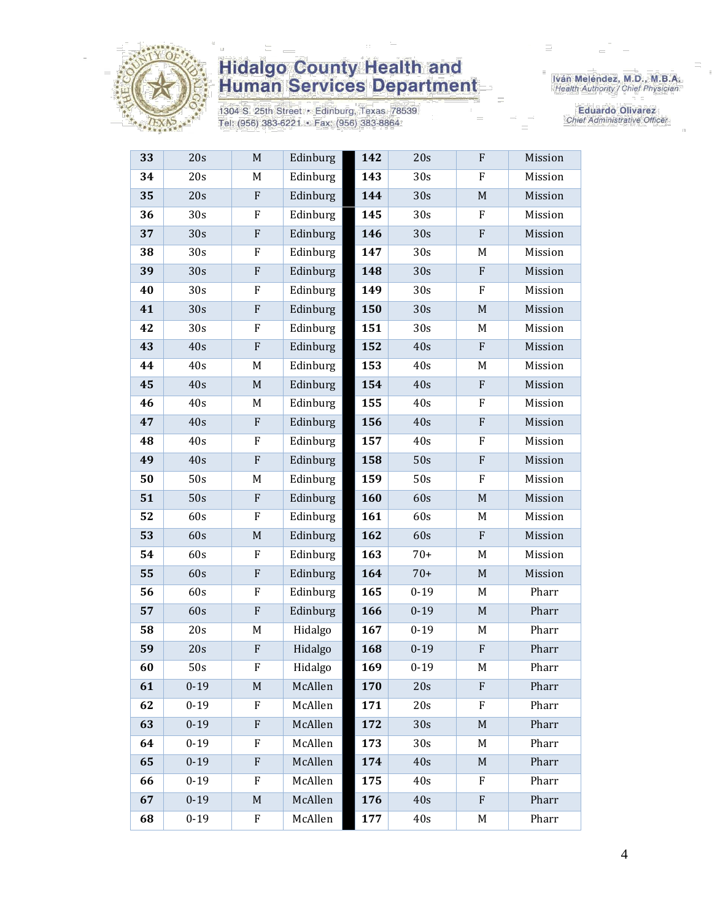

1304 S. 25th Street · Edinburg, Texas 78539 Tel: (956) 383-6221 · Fax: (956) 383-8864

Iván Meléndez, M.D., M.B.A.<br>Health Authority / Chief Physician

Eduardo Olivarez **Chief Administrative Officer** 

| 33 | 20s      | M            | Edinburg | 142 | 20s             | F                         | Mission |
|----|----------|--------------|----------|-----|-----------------|---------------------------|---------|
| 34 | 20s      | M            | Edinburg | 143 | 30s             | F                         | Mission |
| 35 | 20s      | ${\bf F}$    | Edinburg | 144 | 30s             | $\mathbf M$               | Mission |
| 36 | 30s      | F            | Edinburg | 145 | 30s             | F                         | Mission |
| 37 | 30s      | F            | Edinburg | 146 | 30s             | ${\bf F}$                 | Mission |
| 38 | 30s      | F            | Edinburg | 147 | 30s             | M                         | Mission |
| 39 | 30s      | ${\bf F}$    | Edinburg | 148 | 30s             | ${\bf F}$                 | Mission |
| 40 | 30s      | $\mathbf{F}$ | Edinburg | 149 | 30 <sub>s</sub> | F                         | Mission |
| 41 | 30s      | ${\bf F}$    | Edinburg | 150 | 30s             | $\mathbf M$               | Mission |
| 42 | 30s      | ${\bf F}$    | Edinburg | 151 | 30s             | M                         | Mission |
| 43 | 40s      | $\rm F$      | Edinburg | 152 | 40s             | $\mathbf{F}$              | Mission |
| 44 | 40s      | M            | Edinburg | 153 | 40s             | M                         | Mission |
| 45 | 40s      | $\mathbf M$  | Edinburg | 154 | 40s             | ${\bf F}$                 | Mission |
| 46 | 40s      | M            | Edinburg | 155 | 40s             | F                         | Mission |
| 47 | 40s      | F            | Edinburg | 156 | 40s             | ${\bf F}$                 | Mission |
| 48 | 40s      | F            | Edinburg | 157 | 40s             | $\boldsymbol{\mathrm{F}}$ | Mission |
| 49 | 40s      | ${\bf F}$    | Edinburg | 158 | 50s             | ${\bf F}$                 | Mission |
| 50 | 50s      | M            | Edinburg | 159 | 50s             | F                         | Mission |
| 51 | 50s      | F            | Edinburg | 160 | 60s             | $\mathbf M$               | Mission |
| 52 | 60s      | ${\bf F}$    | Edinburg | 161 | 60s             | M                         | Mission |
| 53 | 60s      | $\mathbf M$  | Edinburg | 162 | 60s             | $\mathbf{F}$              | Mission |
| 54 | 60s      | $\mathbf{F}$ | Edinburg | 163 | $70+$           | M                         | Mission |
| 55 | 60s      | ${\bf F}$    | Edinburg | 164 | $70+$           | $\mathbf M$               | Mission |
| 56 | 60s      | F            | Edinburg | 165 | $0 - 19$        | M                         | Pharr   |
| 57 | 60s      | $\rm F$      | Edinburg | 166 | $0 - 19$        | M                         | Pharr   |
| 58 | 20s      | M            | Hidalgo  | 167 | $0 - 19$        | M                         | Pharr   |
| 59 | 20s      | ${\bf F}$    | Hidalgo  | 168 | $0 - 19$        | ${\bf F}$                 | Pharr   |
| 60 | 50s      | ${\bf F}$    | Hidalgo  | 169 | $0 - 19$        | M                         | Pharr   |
| 61 | $0 - 19$ | M            | McAllen  | 170 | 20s             | F                         | Pharr   |
| 62 | $0 - 19$ | F            | McAllen  | 171 | 20s             | F                         | Pharr   |
| 63 | $0 - 19$ | $\rm F$      | McAllen  | 172 | 30s             | M                         | Pharr   |
| 64 | $0 - 19$ | $\mathbf{F}$ | McAllen  | 173 | 30 <sub>s</sub> | M                         | Pharr   |
| 65 | $0 - 19$ | F            | McAllen  | 174 | 40s             | M                         | Pharr   |
| 66 | $0 - 19$ | F            | McAllen  | 175 | 40s             | F                         | Pharr   |
| 67 | $0 - 19$ | $\mathbf M$  | McAllen  | 176 | 40s             | F                         | Pharr   |
| 68 | $0 - 19$ | F            | McAllen  | 177 | 40s             | M                         | Pharr   |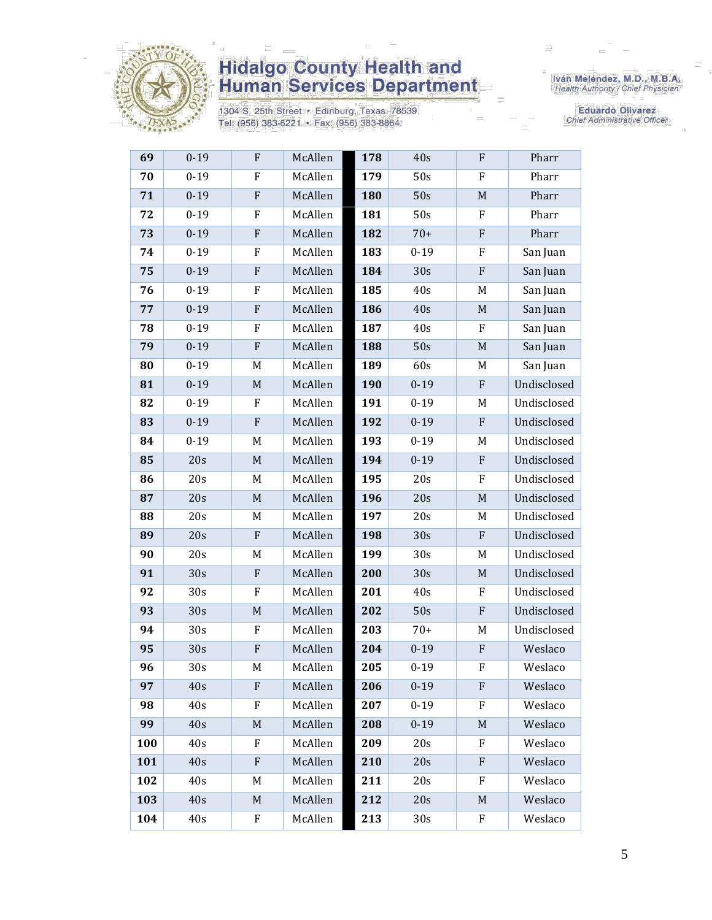

1304 S. 25th Street · Edinburg, Texas 78539 Tel: (956) 383-6221 · Fax: (956) 383-8864

Iván Meléndez, M.D., M.B.A.<br>Health Authority / Chief Physician

**Eduardo Olivarez** Chief Administrative Officer

| 69  | $0 - 19$        | $\mathbf F$  | McAllen | 178 | 40s             | $\boldsymbol{F}$          | Pharr       |
|-----|-----------------|--------------|---------|-----|-----------------|---------------------------|-------------|
| 70  | $0 - 19$        | F            | McAllen | 179 | 50s             | F                         | Pharr       |
| 71  | $0 - 19$        | ${\bf F}$    | McAllen | 180 | 50s             | M                         | Pharr       |
| 72  | $0 - 19$        | ${\bf F}$    | McAllen | 181 | 50s             | F                         | Pharr       |
| 73  | $0 - 19$        | $\rm F$      | McAllen | 182 | $70+$           | ${\bf F}$                 | Pharr       |
| 74  | $0 - 19$        | F            | McAllen | 183 | $0 - 19$        | F                         | San Juan    |
| 75  | $0 - 19$        | ${\bf F}$    | McAllen | 184 | 30s             | ${\bf F}$                 | San Juan    |
| 76  | $0 - 19$        | F            | McAllen | 185 | 40s             | M                         | San Juan    |
| 77  | $0 - 19$        | ${\bf F}$    | McAllen | 186 | 40s             | $\mathbf M$               | San Juan    |
| 78  | $0 - 19$        | F            | McAllen | 187 | 40s             | F                         | San Juan    |
| 79  | $0 - 19$        | ${\bf F}$    | McAllen | 188 | 50s             | $\mathbf M$               | San Juan    |
| 80  | $0 - 19$        | M            | McAllen | 189 | 60s             | M                         | San Juan    |
| 81  | $0 - 19$        | M            | McAllen | 190 | $0 - 19$        | $\mathbf{F}$              | Undisclosed |
| 82  | $0 - 19$        | F            | McAllen | 191 | $0 - 19$        | M                         | Undisclosed |
| 83  | $0 - 19$        | $\mathbf{F}$ | McAllen | 192 | $0 - 19$        | F                         | Undisclosed |
| 84  | $0 - 19$        | M            | McAllen | 193 | $0 - 19$        | M                         | Undisclosed |
| 85  | 20s             | $\mathbf M$  | McAllen | 194 | $0 - 19$        | $\mathbf F$               | Undisclosed |
| 86  | 20s             | M            | McAllen | 195 | 20s             | F                         | Undisclosed |
| 87  | 20s             | $\mathbf M$  | McAllen | 196 | 20s             | $M_{\odot}$               | Undisclosed |
| 88  | 20s             | M            | McAllen | 197 | 20s             | M                         | Undisclosed |
| 89  | 20s             | ${\bf F}$    | McAllen | 198 | 30s             | $\mathbf{F}$              | Undisclosed |
| 90  | 20s             | M            | McAllen | 199 | 30 <sub>s</sub> | M                         | Undisclosed |
| 91  | 30s             | ${\bf F}$    | McAllen | 200 | 30s             | $\mathbf M$               | Undisclosed |
| 92  | 30s             | F            | McAllen | 201 | 40s             | F                         | Undisclosed |
| 93  | 30s             | $\mathbf M$  | McAllen | 202 | 50s             | $\mathbf{F}$              | Undisclosed |
| 94  | 30s             | F            | McAllen | 203 | $70+$           | M                         | Undisclosed |
| 95  | 30s             | $\mathbf{F}$ | McAllen | 204 | $0 - 19$        | $\boldsymbol{F}$          | Weslaco     |
| 96  | 30 <sub>s</sub> | M            | McAllen | 205 | $0 - 19$        | $\boldsymbol{\mathrm{F}}$ | Weslaco     |
| 97  | 40s             | F            | McAllen | 206 | $0 - 19$        | F                         | Weslaco     |
| 98  | 40s             | F            | McAllen | 207 | $0 - 19$        | F                         | Weslaco     |
| 99  | 40s             | $\mathbf M$  | McAllen | 208 | $0 - 19$        | M                         | Weslaco     |
| 100 | 40s             | F            | McAllen | 209 | 20s             | F                         | Weslaco     |
| 101 | 40s             | $\mathbf{F}$ | McAllen | 210 | 20s             | F                         | Weslaco     |
| 102 | 40s             | M            | McAllen | 211 | 20s             | F                         | Weslaco     |
| 103 | 40s             | M            | McAllen | 212 | 20s             | M                         | Weslaco     |
| 104 | 40s             | F            | McAllen | 213 | 30s             | F                         | Weslaco     |